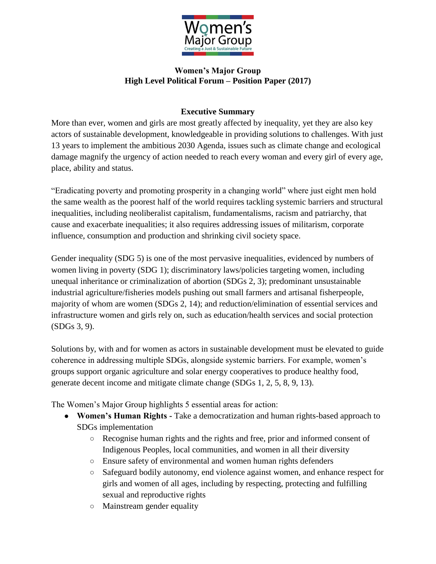

## **Women's Major Group High Level Political Forum – Position Paper (2017)**

## **Executive Summary**

More than ever, women and girls are most greatly affected by inequality, yet they are also key actors of sustainable development, knowledgeable in providing solutions to challenges. With just 13 years to implement the ambitious 2030 Agenda, issues such as climate change and ecological damage magnify the urgency of action needed to reach every woman and every girl of every age, place, ability and status.

"Eradicating poverty and promoting prosperity in a changing world" where just eight men hold the same wealth as the poorest half of the world requires tackling systemic barriers and structural inequalities, including neoliberalist capitalism, fundamentalisms, racism and patriarchy, that cause and exacerbate inequalities; it also requires addressing issues of militarism, corporate influence, consumption and production and shrinking civil society space.

Gender inequality (SDG 5) is one of the most pervasive inequalities, evidenced by numbers of women living in poverty (SDG 1); discriminatory laws/policies targeting women, including unequal inheritance or criminalization of abortion (SDGs 2, 3); predominant unsustainable industrial agriculture/fisheries models pushing out small farmers and artisanal fisherpeople, majority of whom are women (SDGs 2, 14); and reduction/elimination of essential services and infrastructure women and girls rely on, such as education/health services and social protection (SDGs 3, 9).

Solutions by, with and for women as actors in sustainable development must be elevated to guide coherence in addressing multiple SDGs, alongside systemic barriers. For example, women's groups support organic agriculture and solar energy cooperatives to produce healthy food, generate decent income and mitigate climate change (SDGs 1, 2, 5, 8, 9, 13).

The Women's Major Group highlights 5 essential areas for action:

- **Women's Human Rights -** Take a democratization and human rights-based approach to SDGs implementation
	- Recognise human rights and the rights and free, prior and informed consent of Indigenous Peoples, local communities, and women in all their diversity
	- Ensure safety of environmental and women human rights defenders
	- Safeguard bodily autonomy, end violence against women, and enhance respect for girls and women of all ages, including by respecting, protecting and fulfilling sexual and reproductive rights
	- Mainstream gender equality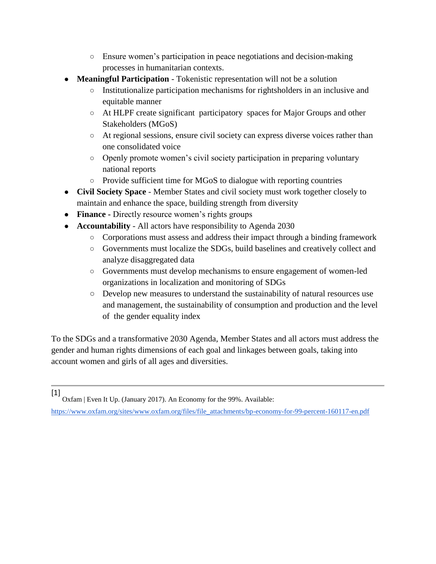- Ensure women's participation in peace negotiations and decision-making processes in humanitarian contexts.
- **Meaningful Participation** Tokenistic representation will not be a solution
	- Institutionalize participation mechanisms for rightsholders in an inclusive and equitable manner
	- At HLPF create significant participatory spaces for Major Groups and other Stakeholders (MGoS)
	- At regional sessions, ensure civil society can express diverse voices rather than one consolidated voice
	- Openly promote women's civil society participation in preparing voluntary national reports
	- Provide sufficient time for MGoS to dialogue with reporting countries
- **Civil Society Space** Member States and civil society must work together closely to maintain and enhance the space, building strength from diversity
- **Finance** Directly resource women's rights groups
- **Accountability**  All actors have responsibility to Agenda 2030
	- Corporations must assess and address their impact through a binding framework
	- Governments must localize the SDGs, build baselines and creatively collect and analyze disaggregated data
	- Governments must develop mechanisms to ensure engagement of women-led organizations in localization and monitoring of SDGs
	- Develop new measures to understand the sustainability of natural resources use and management, the sustainability of consumption and production and the level of the gender equality index

To the SDGs and a transformative 2030 Agenda, Member States and all actors must address the gender and human rights dimensions of each goal and linkages between goals, taking into account women and girls of all ages and diversities.

[1] Oxfam | Even It Up. (January 2017). An Economy for the 99%. Available[:](https://www.oxfam.org/sites/www.oxfam.org/files/file_attachments/bp-economy-for-99-percent-160117-en.pdf)

[https://www.oxfam.org/sites/www.oxfam.org/files/file\\_attachments/bp-economy-for-99-percent-160117-en.pdf](https://www.oxfam.org/sites/www.oxfam.org/files/file_attachments/bp-economy-for-99-percent-160117-en.pdf)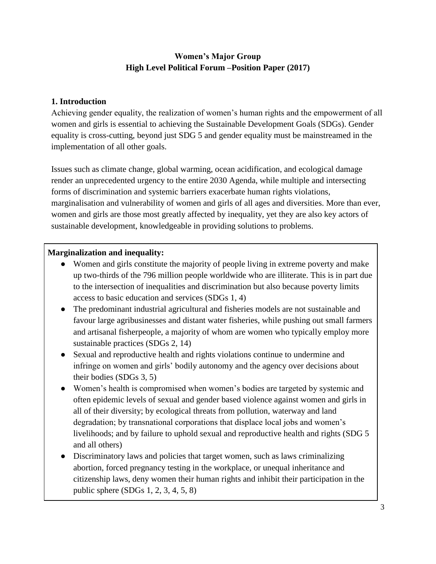# **Women's Major Group High Level Political Forum –Position Paper (2017)**

### **1. Introduction**

Achieving gender equality, the realization of women's human rights and the empowerment of all women and girls is essential to achieving the Sustainable Development Goals (SDGs). Gender equality is cross-cutting, beyond just SDG 5 and gender equality must be mainstreamed in the implementation of all other goals.

Issues such as climate change, global warming, ocean acidification, and ecological damage render an unprecedented urgency to the entire 2030 Agenda, while multiple and intersecting forms of discrimination and systemic barriers exacerbate human rights violations, marginalisation and vulnerability of women and girls of all ages and diversities. More than ever, women and girls are those most greatly affected by inequality, yet they are also key actors of sustainable development, knowledgeable in providing solutions to problems.

### **Marginalization and inequality:**

- Women and girls constitute the majority of people living in extreme poverty and make up two-thirds of the 796 million people worldwide who are illiterate. This is in part due to the intersection of inequalities and discrimination but also because poverty limits access to basic education and services (SDGs 1, 4)
- The predominant industrial agricultural and fisheries models are not sustainable and favour large agribusinesses and distant water fisheries, while pushing out small farmers and artisanal fisherpeople, a majority of whom are women who typically employ more sustainable practices (SDGs 2, 14)
- Sexual and reproductive health and rights violations continue to undermine and infringe on women and girls' bodily autonomy and the agency over decisions about their bodies (SDGs 3, 5)
- Women's health is compromised when women's bodies are targeted by systemic and often epidemic levels of sexual and gender based violence against women and girls in all of their diversity; by ecological threats from pollution, waterway and land degradation; by transnational corporations that displace local jobs and women's livelihoods; and by failure to uphold sexual and reproductive health and rights (SDG 5 and all others)
- Discriminatory laws and policies that target women, such as laws criminalizing abortion, forced pregnancy testing in the workplace, or unequal inheritance and citizenship laws, deny women their human rights and inhibit their participation in the public sphere (SDGs 1, 2, 3, 4, 5, 8)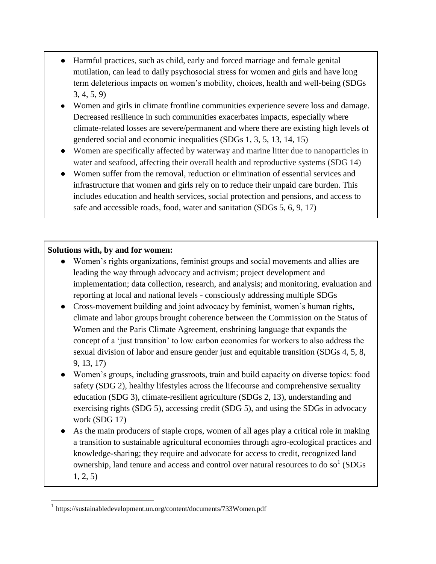- Harmful practices, such as child, early and forced marriage and female genital mutilation, can lead to daily psychosocial stress for women and girls and have long term deleterious impacts on women's mobility, choices, health and well-being (SDGs 3, 4, 5, 9)
- Women and girls in climate frontline communities experience severe loss and damage. Decreased resilience in such communities exacerbates impacts, especially where climate-related losses are severe/permanent and where there are existing high levels of gendered social and economic inequalities (SDGs 1, 3, 5, 13, 14, 15)
- Women are specifically affected by waterway and marine litter due to nanoparticles in water and seafood, affecting their overall health and reproductive systems (SDG 14)
- Women suffer from the removal, reduction or elimination of essential services and infrastructure that women and girls rely on to reduce their unpaid care burden. This includes education and health services, social protection and pensions, and access to safe and accessible roads, food, water and sanitation (SDGs 5, 6, 9, 17)

#### **Solutions with, by and for women:**

- Women's rights organizations, feminist groups and social movements and allies are leading the way through advocacy and activism; project development and implementation; data collection, research, and analysis; and monitoring, evaluation and reporting at local and national levels - consciously addressing multiple SDGs
- Cross-movement building and joint advocacy by feminist, women's human rights, climate and labor groups brought coherence between the Commission on the Status of Women and the Paris Climate Agreement, enshrining language that expands the concept of a 'just transition' to low carbon economies for workers to also address the sexual division of labor and ensure gender just and equitable transition (SDGs 4, 5, 8, 9, 13, 17)
- Women's groups, including grassroots, train and build capacity on diverse topics: food safety (SDG 2), healthy lifestyles across the lifecourse and comprehensive sexuality education (SDG 3), climate-resilient agriculture (SDGs 2, 13), understanding and exercising rights (SDG 5), accessing credit (SDG 5), and using the SDGs in advocacy work (SDG 17)
- As the main producers of staple crops, women of all ages play a critical role in making a transition to sustainable agricultural economies through agro-ecological practices and knowledge-sharing; they require and advocate for access to credit, recognized land ownership, land tenure and access and control over natural resources to do so<sup>1</sup> (SDGs 1, 2, 5)

<sup>1</sup> <https://sustainabledevelopment.un.org/content/documents/733Women.pdf>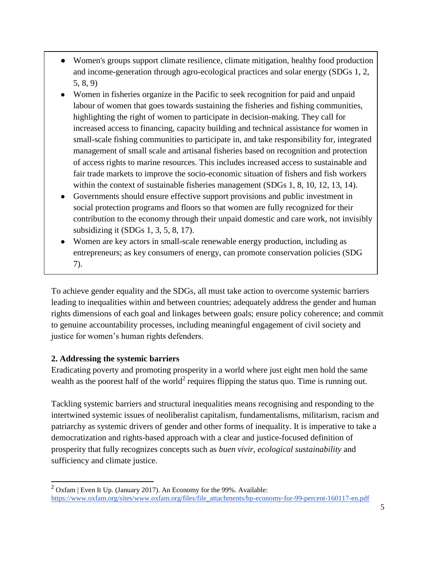- Women's groups support climate resilience, climate mitigation, healthy food production and income-generation through agro-ecological practices and solar energy (SDGs 1, 2, 5, 8, 9)
- Women in fisheries organize in the Pacific to seek recognition for paid and unpaid labour of women that goes towards sustaining the fisheries and fishing communities, highlighting the right of women to participate in decision-making. They call for increased access to financing, capacity building and technical assistance for women in small-scale fishing communities to participate in, and take responsibility for, integrated management of small scale and artisanal fisheries based on recognition and protection of access rights to marine resources. This includes increased access to sustainable and fair trade markets to improve the socio-economic situation of fishers and fish workers within the context of sustainable fisheries management (SDGs 1, 8, 10, 12, 13, 14).
- Governments should ensure effective support provisions and public investment in social protection programs and floors so that women are fully recognized for their contribution to the economy through their unpaid domestic and care work, not invisibly subsidizing it (SDGs 1, 3, 5, 8, 17).
- Women are key actors in small-scale renewable energy production, including as entrepreneurs; as key consumers of energy, can promote conservation policies (SDG 7).

To achieve gender equality and the SDGs, all must take action to overcome systemic barriers leading to inequalities within and between countries; adequately address the gender and human rights dimensions of each goal and linkages between goals; ensure policy coherence; and commit to genuine accountability processes, including meaningful engagement of civil society and justice for women's human rights defenders.

## **2. Addressing the systemic barriers**

 $\overline{a}$ 

Eradicating poverty and promoting prosperity in a world where just eight men hold the same wealth as the poorest half of the world<sup>2</sup> requires flipping the status quo. Time is running out.

Tackling systemic barriers and structural inequalities means recognising and responding to the intertwined systemic issues of neoliberalist capitalism, fundamentalisms, militarism, racism and patriarchy as systemic drivers of gender and other forms of inequality. It is imperative to take a democratization and rights-based approach with a clear and justice-focused definition of prosperity that fully recognizes concepts such as *buen vivir, ecological sustainability* and sufficiency and climate justice.

 $2$  Oxfam | Even It Up. (January 2017). An Economy for the 99%. Available: [https://www.oxfam.org/sites/www.oxfam.org/files/file\\_attachments/bp-economy-for-99-percent-160117-en.pdf](https://www.oxfam.org/sites/www.oxfam.org/files/file_attachments/bp-economy-for-99-percent-160117-en.pdf)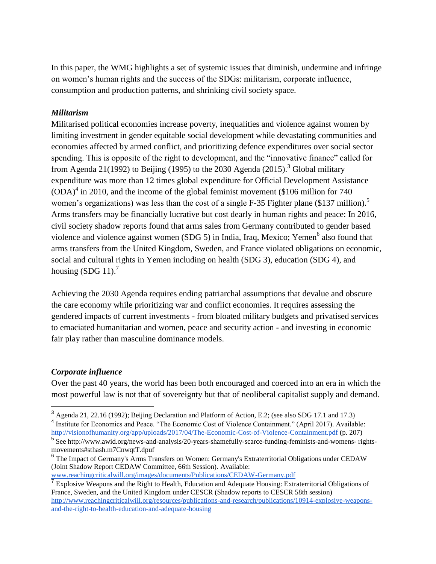In this paper, the WMG highlights a set of systemic issues that diminish, undermine and infringe on women's human rights and the success of the SDGs: militarism, corporate influence, consumption and production patterns, and shrinking civil society space.

#### *Militarism*

Militarised political economies increase poverty, inequalities and violence against women by limiting investment in gender equitable social development while devastating communities and economies affected by armed conflict, and prioritizing defence expenditures over social sector spending. This is opposite of the right to development, and the "innovative finance" called for from Agenda 21(1992) to Beijing (1995) to the 2030 Agenda (2015).<sup>3</sup> Global military expenditure was more than 12 times global expenditure for Official Development Assistance  $(ODA)<sup>4</sup>$  in 2010, and the income of the global feminist movement (\$106 million for 740 women's organizations) was less than the cost of a single F-35 Fighter plane (\$137 million).<sup>5</sup> Arms transfers may be financially lucrative but cost dearly in human rights and peace: In 2016, civil society shadow reports found that arms sales from Germany contributed to gender based violence and violence against women (SDG 5) in India, Iraq, Mexico; Yemen<sup>6</sup> also found that arms transfers from the United Kingdom, Sweden, and France violated obligations on economic, social and cultural rights in Yemen including on health (SDG 3), education (SDG 4), and housing  $(SDG 11)<sup>7</sup>$ 

Achieving the 2030 Agenda requires ending patriarchal assumptions that devalue and obscure the care economy while prioritizing war and conflict economies. It requires assessing the gendered impacts of current investments - from bloated military budgets and privatised services to emaciated humanitarian and women, peace and security action - and investing in economic fair play rather than masculine dominance models.

#### *Corporate influence*

Over the past 40 years, the world has been both encouraged and coerced into an era in which the most powerful law is not that of sovereignty but that of neoliberal capitalist supply and demand.

<sup>3</sup> Agenda 21, 22.16 (1992); Beijing Declaration and Platform of Action, E.2; (see also SDG 17.1 and 17.3) <sup>4</sup> Institute for Economics and Peace. "The Economic Cost of Violence Containment." (April 2017). Available:

<http://visionofhumanity.org/app/uploads/2017/04/The-Economic-Cost-of-Violence-Containment.pdf> (p. 207)<br><sup>5</sup> See http://www.awid.org/news-and-analysis/20-years-shamefully-scarce-funding-feminists-and-womens- rightsmovements#sthash.m7CnwqtT.dpuf

<sup>&</sup>lt;sup>6</sup> The Impact of Germany's Arms Transfers on Women: Germany's Extraterritorial Obligations under CEDAW (Joint Shadow Report CEDAW Committee, 66th Session). Available: [www.reachingcriticalwill.org/images/documents/Publications/CEDAW-Germany.pdf](http://www.reachingcriticalwill.org/images/documents/Publications/CEDAW-Germany.pdf)

<sup>&</sup>lt;sup>7</sup> Explosive Weapons and the Right to Health, Education and Adequate Housing: Extraterritorial Obligations of France, Sweden, and the United Kingdom under CESCR (Shadow reports to CESCR 58th session) [http://www.reachingcriticalwill.org/resources/publications-and-research/publications/10914-explosive-weapons](http://www.reachingcriticalwill.org/resources/publications-and-research/publications/10914-explosive-weapons-and-the-right-to-health-education-and-adequate-housing)[and-the-right-to-health-education-and-adequate-housing](http://www.reachingcriticalwill.org/resources/publications-and-research/publications/10914-explosive-weapons-and-the-right-to-health-education-and-adequate-housing)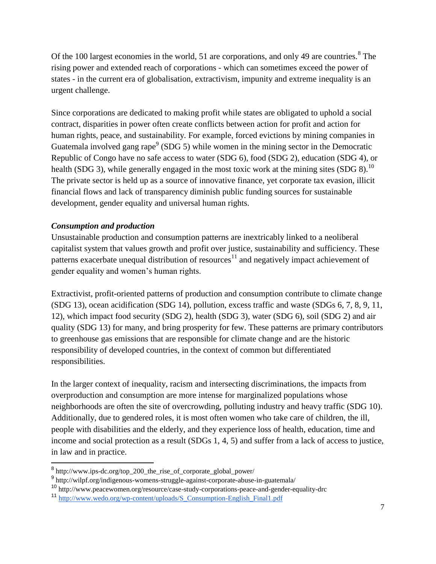Of the 100 largest economies in the world, 51 are corporations, and only 49 are countries. $8$  The rising power and extended reach of corporations - which can sometimes exceed the power of states - in the current era of globalisation, extractivism, impunity and extreme inequality is an urgent challenge.

Since corporations are dedicated to making profit while states are obligated to uphold a social contract, disparities in power often create conflicts between action for profit and action for human rights, peace, and sustainability. For example, forced evictions by mining companies in Guatemala involved gang rape<sup>9</sup> (SDG 5) while women in the mining sector in the Democratic Republic of Congo have no safe access to water (SDG 6), food (SDG 2), education (SDG 4), or health (SDG 3), while generally engaged in the most toxic work at the mining sites (SDG 8).<sup>10</sup> The private sector is held up as a source of innovative finance, yet corporate tax evasion, illicit financial flows and lack of transparency diminish public funding sources for sustainable development, gender equality and universal human rights.

#### *Consumption and production*

Unsustainable production and consumption patterns are inextricably linked to a neoliberal capitalist system that values growth and profit over justice, sustainability and sufficiency. These patterns exacerbate unequal distribution of resources<sup>11</sup> and negatively impact achievement of gender equality and women's human rights.

Extractivist, profit-oriented patterns of production and consumption contribute to climate change (SDG 13), ocean acidification (SDG 14), pollution, excess traffic and waste (SDGs 6, 7, 8, 9, 11, 12), which impact food security (SDG 2), health (SDG 3), water (SDG 6), soil (SDG 2) and air quality (SDG 13) for many, and bring prosperity for few. These patterns are primary contributors to greenhouse gas emissions that are responsible for climate change and are the historic responsibility of developed countries, in the context of common but differentiated responsibilities.

In the larger context of inequality, racism and intersecting discriminations, the impacts from overproduction and consumption are more intense for marginalized populations whose neighborhoods are often the site of overcrowding, polluting industry and heavy traffic (SDG 10). Additionally, due to gendered roles, it is most often women who take care of children, the ill, people with disabilities and the elderly, and they experience loss of health, education, time and income and social protection as a result (SDGs 1, 4, 5) and suffer from a lack of access to justice, in law and in practice.

<sup>&</sup>lt;sup>8</sup> http://www.ips-dc.org/top\_200\_the\_rise\_of\_corporate\_global\_power/

<sup>9</sup> http://wilpf.org/indigenous-womens-struggle-against-corporate-abuse-in-guatemala/

<sup>10</sup> http://www.peacewomen.org/resource/case-study-corporations-peace-and-gender-equality-drc

<sup>11</sup> [http://www.wedo.org/wp-content/uploads/S\\_Consumption-English\\_Final1.pdf](http://www.wedo.org/wp-content/uploads/S_Consumption-English_Final1.pdf)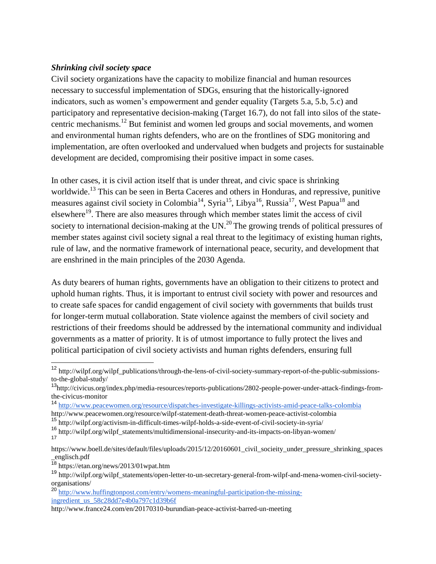#### *Shrinking civil society space*

Civil society organizations have the capacity to mobilize financial and human resources necessary to successful implementation of SDGs, ensuring that the historically-ignored indicators, such as women's empowerment and gender equality (Targets 5.a, 5.b, 5.c) and participatory and representative decision-making (Target 16.7), do not fall into silos of the statecentric mechanisms.<sup>12</sup> But feminist and women led groups and social movements, and women and environmental human rights defenders, who are on the frontlines of SDG monitoring and implementation, are often overlooked and undervalued when budgets and projects for sustainable development are decided, compromising their positive impact in some cases.

In other cases, it is civil action itself that is under threat, and civic space is shrinking worldwide.<sup>13</sup> This can be seen in Berta Caceres and others in Honduras, and repressive, punitive measures against civil society in Colombia<sup>14</sup>, Syria<sup>15</sup>, Libya<sup>16</sup>, Russia<sup>17</sup>, West Papua<sup>18</sup> and elsewhere<sup>19</sup>. There are also measures through which member states limit the access of civil society to international decision-making at the  $UN.^{20}$ . The growing trends of political pressures of member states against civil society signal a real threat to the legitimacy of existing human rights, rule of law, and the normative framework of international peace, security, and development that are enshrined in the main principles of the 2030 Agenda.

As duty bearers of human rights, governments have an obligation to their citizens to protect and uphold human rights. Thus, it is important to entrust civil society with power and resources and to create safe spaces for candid engagement of civil society with governments that builds trust for longer-term mutual collaboration. State violence against the members of civil society and restrictions of their freedoms should be addressed by the international community and individual governments as a matter of priority. It is of utmost importance to fully protect the lives and political participation of civil society activists and human rights defenders, ensuring full

 $\overline{a}$ 

<sup>&</sup>lt;sup>12</sup> http://wilpf.org/wilpf\_publications/through-the-lens-of-civil-society-summary-report-of-the-public-submissionsto-the-global-study/

<sup>13</sup>http://civicus.org/index.php/media-resources/reports-publications/2802-people-power-under-attack-findings-fromthe-civicus-monitor

<sup>14</sup> <http://www.peacewomen.org/resource/dispatches-investigate-killings-activists-amid-peace-talks-colombia>

http://www.peacewomen.org/resource/wilpf-statement-death-threat-women-peace-activist-colombia

<sup>15</sup> http://wilpf.org/activism-in-difficult-times-wilpf-holds-a-side-event-of-civil-society-in-syria/

<sup>16</sup> http://wilpf.org/wilpf\_statements/multidimensional-insecurity-and-its-impacts-on-libyan-women/ 17

https://www.boell.de/sites/default/files/uploads/2015/12/20160601 civil socieity under pressure shrinking spaces \_englisch.pdf

<sup>18</sup> https://etan.org/news/2013/01wpat.htm

<sup>19</sup> http://wilpf.org/wilpf\_statements/open-letter-to-un-secretary-general-from-wilpf-and-mena-women-civil-societyorganisations/

<sup>20</sup> [http://www.huffingtonpost.com/entry/womens-meaningful-participation-the-missing](http://www.huffingtonpost.com/entry/womens-meaningful-participation-the-missing-ingredient_us_58c28dd7e4b0a797c1d39b6f)[ingredient\\_us\\_58c28dd7e4b0a797c1d39b6f](http://www.huffingtonpost.com/entry/womens-meaningful-participation-the-missing-ingredient_us_58c28dd7e4b0a797c1d39b6f)

http://www.france24.com/en/20170310-burundian-peace-activist-barred-un-meeting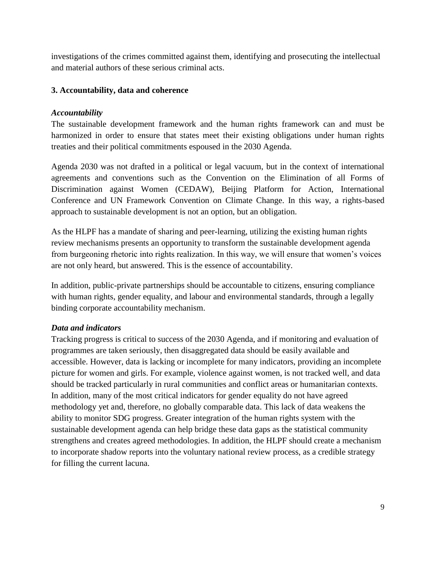investigations of the crimes committed against them, identifying and prosecuting the intellectual and material authors of these serious criminal acts.

### **3. Accountability, data and coherence**

### *Accountability*

The sustainable development framework and the human rights framework can and must be harmonized in order to ensure that states meet their existing obligations under human rights treaties and their political commitments espoused in the 2030 Agenda.

Agenda 2030 was not drafted in a political or legal vacuum, but in the context of international agreements and conventions such as the Convention on the Elimination of all Forms of Discrimination against Women (CEDAW), Beijing Platform for Action, International Conference and UN Framework Convention on Climate Change. In this way, a rights-based approach to sustainable development is not an option, but an obligation.

As the HLPF has a mandate of sharing and peer-learning, utilizing the existing human rights review mechanisms presents an opportunity to transform the sustainable development agenda from burgeoning rhetoric into rights realization. In this way, we will ensure that women's voices are not only heard, but answered. This is the essence of accountability.

In addition, public-private partnerships should be accountable to citizens, ensuring compliance with human rights, gender equality, and labour and environmental standards, through a legally binding corporate accountability mechanism.

#### *Data and indicators*

Tracking progress is critical to success of the 2030 Agenda, and if monitoring and evaluation of programmes are taken seriously, then disaggregated data should be easily available and accessible. However, data is lacking or incomplete for many indicators, providing an incomplete picture for women and girls. For example, violence against women, is not tracked well, and data should be tracked particularly in rural communities and conflict areas or humanitarian contexts. In addition, many of the most critical indicators for gender equality do not have agreed methodology yet and, therefore, no globally comparable data. This lack of data weakens the ability to monitor SDG progress. Greater integration of the human rights system with the sustainable development agenda can help bridge these data gaps as the statistical community strengthens and creates agreed methodologies. In addition, the HLPF should create a mechanism to incorporate shadow reports into the voluntary national review process, as a credible strategy for filling the current lacuna.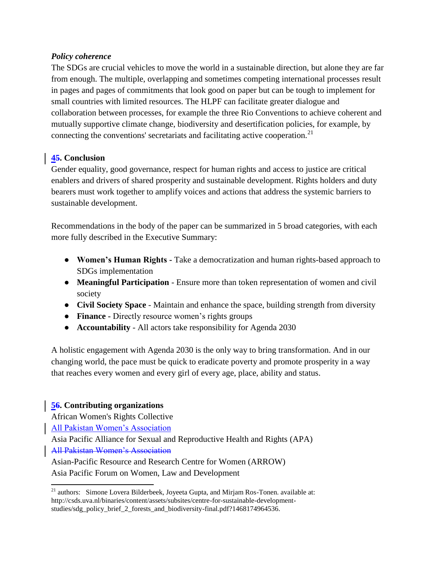### *Policy coherence*

The SDGs are crucial vehicles to move the world in a sustainable direction, but alone they are far from enough. The multiple, overlapping and sometimes competing international processes result in pages and pages of commitments that look good on paper but can be tough to implement for small countries with limited resources. The HLPF can facilitate greater dialogue and collaboration between processes, for example the three Rio Conventions to achieve coherent and mutually supportive climate change, biodiversity and desertification policies, for example, by connecting the conventions' secretariats and facilitating active cooperation.<sup>21</sup>

# **45. Conclusion**

Gender equality, good governance, respect for human rights and access to justice are critical enablers and drivers of shared prosperity and sustainable development. Rights holders and duty bearers must work together to amplify voices and actions that address the systemic barriers to sustainable development.

Recommendations in the body of the paper can be summarized in 5 broad categories, with each more fully described in the Executive Summary:

- **Women's Human Rights -** Take a democratization and human rights-based approach to SDGs implementation
- **Meaningful Participation** Ensure more than token representation of women and civil society
- **Civil Society Space** Maintain and enhance the space, building strength from diversity
- **Finance -** Directly resource women's rights groups
- **Accountability**  All actors take responsibility for Agenda 2030

A holistic engagement with Agenda 2030 is the only way to bring transformation. And in our changing world, the pace must be quick to eradicate poverty and promote prosperity in a way that reaches every women and every girl of every age, place, ability and status.

## **56. Contributing organizations**

African Women's Rights Collective

All Pakistan Women's Association

 $\overline{a}$ 

Asia Pacific Alliance for Sexual and Reproductive Health and Rights (APA) All Pakistan Women's Association

Asian-Pacific Resource and Research Centre for Women (ARROW) Asia Pacific Forum on Women, Law and Development

 $21$  authors: Simone Lovera Bilderbeek, Joyeeta Gupta, and Mirjam Ros-Tonen. available at: http://csds.uva.nl/binaries/content/assets/subsites/centre-for-sustainable-developmentstudies/sdg\_policy\_brief\_2\_forests\_and\_biodiversity-final.pdf?1468174964536.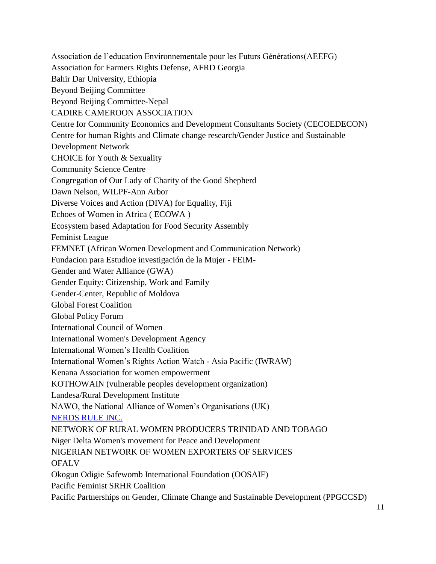Association de l'education Environnementale pour les Futurs Générations(AEEFG) Association for Farmers Rights Defense, AFRD Georgia Bahir Dar University, Ethiopia Beyond Beijing Committee Beyond Beijing Committee-Nepal CADIRE CAMEROON ASSOCIATION Centre for Community Economics and Development Consultants Society (CECOEDECON) Centre for human Rights and Climate change research/Gender Justice and Sustainable Development Network CHOICE for Youth & Sexuality Community Science Centre Congregation of Our Lady of Charity of the Good Shepherd Dawn Nelson, WILPF-Ann Arbor Diverse Voices and Action (DIVA) for Equality, Fiji Echoes of Women in Africa ( ECOWA ) Ecosystem based Adaptation for Food Security Assembly Feminist League FEMNET (African Women Development and Communication Network) Fundacion para Estudioe investigación de la Mujer - FEIM-Gender and Water Alliance (GWA) Gender Equity: Citizenship, Work and Family Gender-Center, Republic of Moldova Global Forest Coalition Global Policy Forum International Council of Women International Women's Development Agency International Women's Health Coalition International Women's Rights Action Watch - Asia Pacific (IWRAW) Kenana Association for women empowerment KOTHOWAIN (vulnerable peoples development organization) Landesa/Rural Development Institute NAWO, the National Alliance of Women's Organisations (UK) NERDS RULE INC. NETWORK OF RURAL WOMEN PRODUCERS TRINIDAD AND TOBAGO Niger Delta Women's movement for Peace and Development NIGERIAN NETWORK OF WOMEN EXPORTERS OF SERVICES **OFALV** Okogun Odigie Safewomb International Foundation (OOSAIF) Pacific Feminist SRHR Coalition Pacific Partnerships on Gender, Climate Change and Sustainable Development (PPGCCSD)